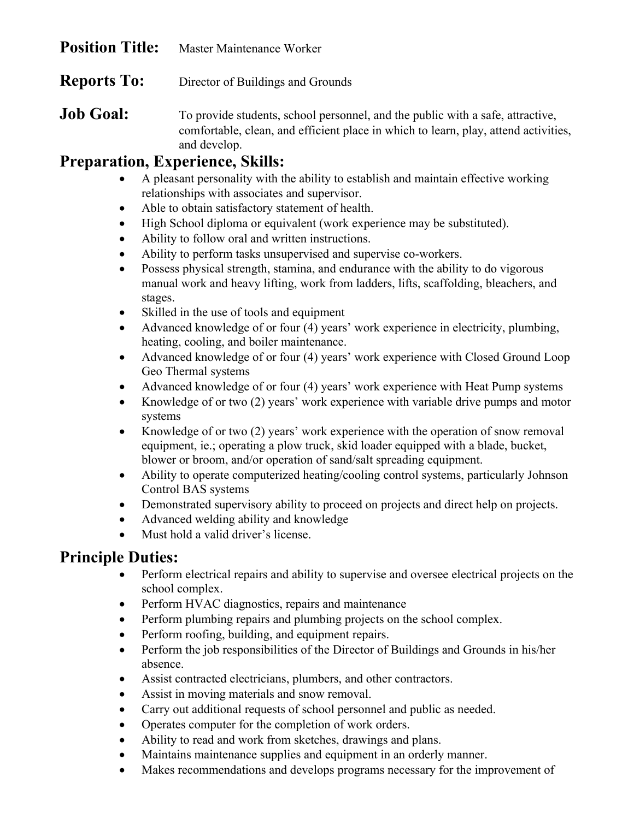| <b>Position Title:</b> | Master Maintenance Worker |
|------------------------|---------------------------|
|------------------------|---------------------------|

**Reports To:** Director of Buildings and Grounds

**Job Goal:** To provide students, school personnel, and the public with a safe, attractive, comfortable, clean, and efficient place in which to learn, play, attend activities, and develop.

## **Preparation, Experience, Skills:**

- A pleasant personality with the ability to establish and maintain effective working relationships with associates and supervisor.
- Able to obtain satisfactory statement of health.
- High School diploma or equivalent (work experience may be substituted).
- Ability to follow oral and written instructions.
- Ability to perform tasks unsupervised and supervise co-workers.
- Possess physical strength, stamina, and endurance with the ability to do vigorous manual work and heavy lifting, work from ladders, lifts, scaffolding, bleachers, and stages.
- Skilled in the use of tools and equipment
- Advanced knowledge of or four (4) years' work experience in electricity, plumbing, heating, cooling, and boiler maintenance.
- Advanced knowledge of or four (4) years' work experience with Closed Ground Loop Geo Thermal systems
- Advanced knowledge of or four (4) years' work experience with Heat Pump systems
- Knowledge of or two (2) years' work experience with variable drive pumps and motor systems
- Knowledge of or two (2) years' work experience with the operation of snow removal equipment, ie.; operating a plow truck, skid loader equipped with a blade, bucket, blower or broom, and/or operation of sand/salt spreading equipment.
- Ability to operate computerized heating/cooling control systems, particularly Johnson Control BAS systems
- Demonstrated supervisory ability to proceed on projects and direct help on projects.
- Advanced welding ability and knowledge
- Must hold a valid driver's license.

## **Principle Duties:**

- Perform electrical repairs and ability to supervise and oversee electrical projects on the school complex.
- Perform HVAC diagnostics, repairs and maintenance
- Perform plumbing repairs and plumbing projects on the school complex.
- Perform roofing, building, and equipment repairs.
- Perform the job responsibilities of the Director of Buildings and Grounds in his/her absence.
- Assist contracted electricians, plumbers, and other contractors.
- Assist in moving materials and snow removal.
- Carry out additional requests of school personnel and public as needed.
- Operates computer for the completion of work orders.
- Ability to read and work from sketches, drawings and plans.
- Maintains maintenance supplies and equipment in an orderly manner.
- Makes recommendations and develops programs necessary for the improvement of